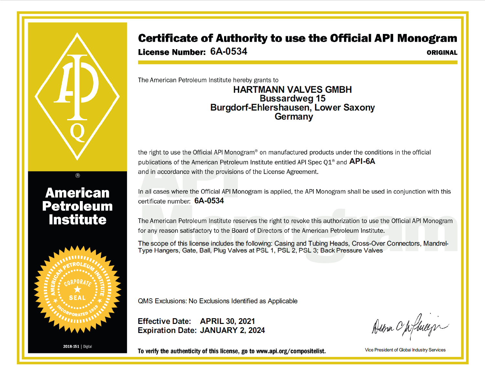## Certificate of Authority to use the Official API Monogram

License Number: 6A-0534

ORIGINAL

The American Petroleum Institute hereby grants to

## **HARTMANN VALVES GMBH Bussardweg 15** Burgdorf-Ehlershausen, Lower Saxony Germany

the right to use the Official API Monogram® on manufactured products under the conditions in the official publications of the American Petroleum Institute entitled API Spec Q1<sup>®</sup> and **API-6A** and in accordance with the provisions of the License Agreement.

In all cases where the Official API Monogram is applied, the API Monogram shall be used in conjunction with this certificate number: 6A-0534

The American Petroleum Institute reserves the right to revoke this authorization to use the Official API Monogram for any reason satisfactory to the Board of Directors of the American Petroleum Institute.

The scope of this license includes the following: Casing and Tubing Heads, Cross-Over Connectors, Mandrel-Type Hangers, Gate, Ball, Plug Valves at PSL 1, PSL 2, PSL 3; Back Pressure Valves



**American** 

**Petroleum** 

**Institute** 

QMS Exclusions: No Exclusions Identified as Applicable

Effective Date: APRIL 30, 2021 **Expiration Date: JANUARY 2, 2024** 

Demn Opfheep

To verify the authenticity of this license, go to www.api.org/compositelist.

Vice President of Global Industry Services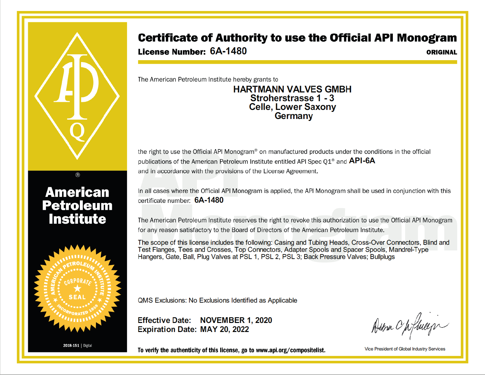## **Certificate of Authority to use the Official API Monogram**

License Number: 6A-1480

**ORIGINAL** 

The American Petroleum Institute hereby grants to

## **HARTMANN VALVES GMBH** Stroherstrasse 1 - 3 **Celle, Lower Saxony** Germany

the right to use the Official API Monogram® on manufactured products under the conditions in the official publications of the American Petroleum Institute entitled API Spec Q1<sup>®</sup> and **API-6A** and in accordance with the provisions of the License Agreement.

In all cases where the Official API Monogram is applied, the API Monogram shall be used in conjunction with this certificate number: 6A-1480

The American Petroleum Institute reserves the right to revoke this authorization to use the Official API Monogram for any reason satisfactory to the Board of Directors of the American Petroleum Institute.

The scope of this license includes the following: Casing and Tubing Heads, Cross-Over Connectors, Blind and Test Flanges, Tees and Crosses, Top Connectors, Adapter Spools and Spacer Spools, Mandrel-Type Hangers, Gate, Ball, Plug Valves at PSL 1, PSL 2, PSL 3; Back Pressure Valves; Bullplugs



**American** 

**Petroleum** 

**Institute** 

QMS Exclusions: No Exclusions Identified as Applicable

Effective Date: NOVEMBER 1, 2020 Expiration Date: MAY 20, 2022

Dema Opfhiers

To verify the authenticity of this license, go to www.api.org/compositelist.

Vice President of Global Industry Services